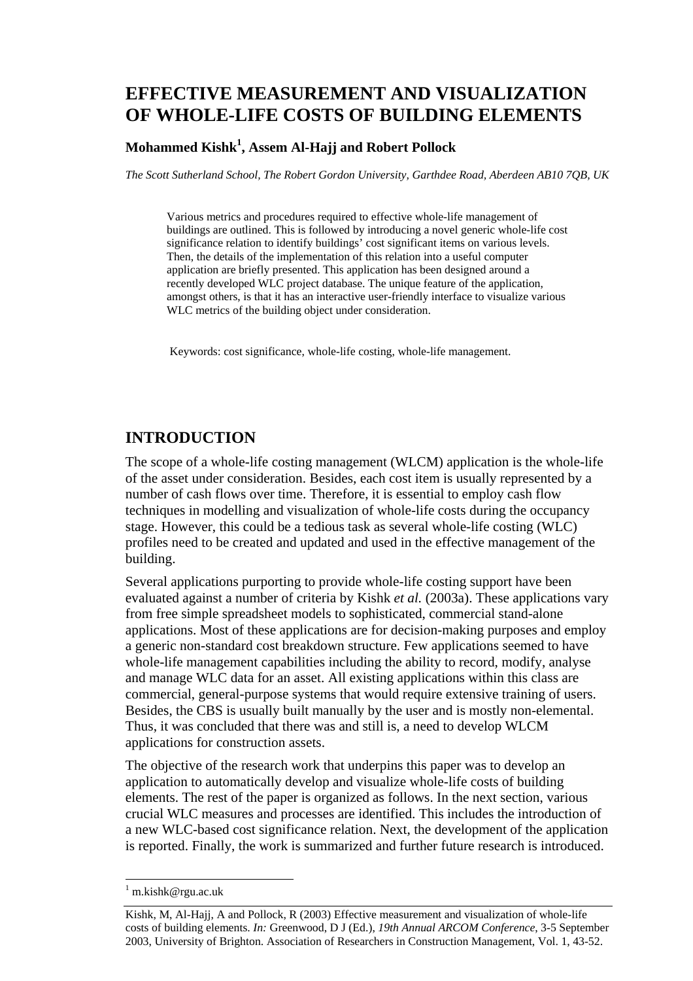# **EFFECTIVE MEASUREMENT AND VISUALIZATION OF WHOLE-LIFE COSTS OF BUILDING ELEMENTS**

### **Mohammed Kishk<sup>1</sup> , Assem Al-Hajj and Robert Pollock**

*The Scott Sutherland School, The Robert Gordon University, Garthdee Road, Aberdeen AB10 7QB, UK* 

Various metrics and procedures required to effective whole-life management of buildings are outlined. This is followed by introducing a novel generic whole-life cost significance relation to identify buildings' cost significant items on various levels. Then, the details of the implementation of this relation into a useful computer application are briefly presented. This application has been designed around a recently developed WLC project database. The unique feature of the application, amongst others, is that it has an interactive user-friendly interface to visualize various WLC metrics of the building object under consideration.

Keywords: cost significance, whole-life costing, whole-life management.

## **INTRODUCTION**

The scope of a whole-life costing management (WLCM) application is the whole-life of the asset under consideration. Besides, each cost item is usually represented by a number of cash flows over time. Therefore, it is essential to employ cash flow techniques in modelling and visualization of whole-life costs during the occupancy stage. However, this could be a tedious task as several whole-life costing (WLC) profiles need to be created and updated and used in the effective management of the building.

Several applications purporting to provide whole-life costing support have been evaluated against a number of criteria by Kishk *et al.* (2003a). These applications vary from free simple spreadsheet models to sophisticated, commercial stand-alone applications. Most of these applications are for decision-making purposes and employ a generic non-standard cost breakdown structure. Few applications seemed to have whole-life management capabilities including the ability to record, modify, analyse and manage WLC data for an asset. All existing applications within this class are commercial, general-purpose systems that would require extensive training of users. Besides, the CBS is usually built manually by the user and is mostly non-elemental. Thus, it was concluded that there was and still is, a need to develop WLCM applications for construction assets.

The objective of the research work that underpins this paper was to develop an application to automatically develop and visualize whole-life costs of building elements. The rest of the paper is organized as follows. In the next section, various crucial WLC measures and processes are identified. This includes the introduction of a new WLC-based cost significance relation. Next, the development of the application is reported. Finally, the work is summarized and further future research is introduced.

l

<sup>&</sup>lt;sup>1</sup> m.kishk@rgu.ac.uk

Kishk, M, Al-Hajj, A and Pollock, R (2003) Effective measurement and visualization of whole-life costs of building elements. *In:* Greenwood, D J (Ed.), *19th Annual ARCOM Conference*, 3-5 September 2003, University of Brighton. Association of Researchers in Construction Management, Vol. 1, 43-52.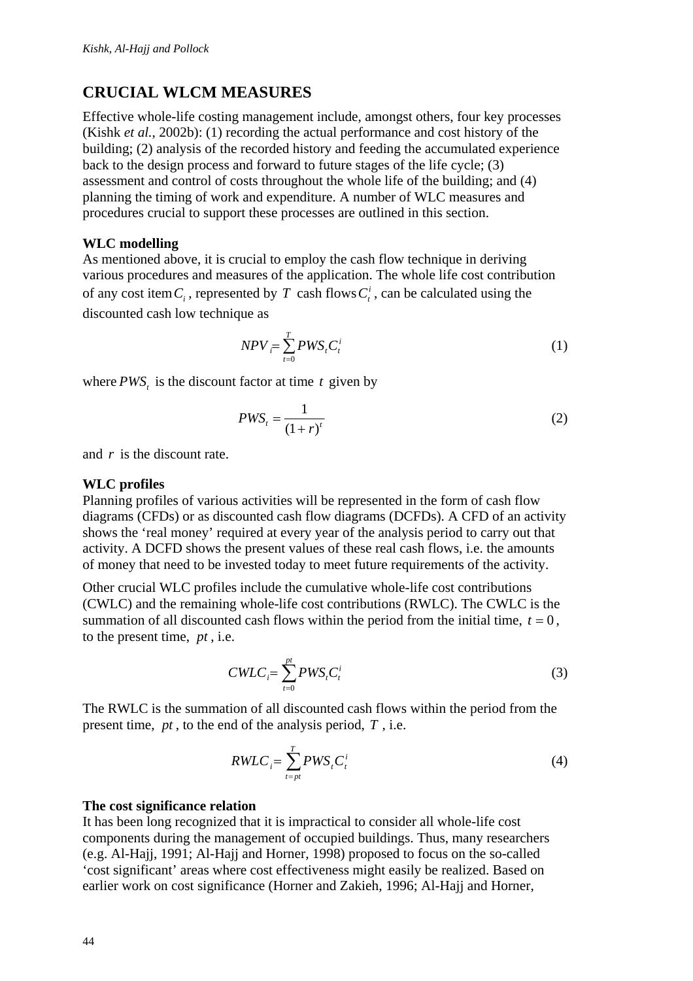## **CRUCIAL WLCM MEASURES**

Effective whole-life costing management include, amongst others, four key processes (Kishk *et al.*, 2002b): (1) recording the actual performance and cost history of the building; (2) analysis of the recorded history and feeding the accumulated experience back to the design process and forward to future stages of the life cycle; (3) assessment and control of costs throughout the whole life of the building; and (4) planning the timing of work and expenditure. A number of WLC measures and procedures crucial to support these processes are outlined in this section.

#### **WLC modelling**

As mentioned above, it is crucial to employ the cash flow technique in deriving various procedures and measures of the application. The whole life cost contribution of any cost item  $C_i$ , represented by  $T$  cash flows  $C_i^i$ , can be calculated using the discounted cash low technique as

$$
NPV = \sum_{t=0}^{T} PWS_t C_t^i \tag{1}
$$

where *PWS*, is the discount factor at time  $t$  given by

$$
PWS_t = \frac{1}{(1+r)^t} \tag{2}
$$

and *r* is the discount rate.

#### **WLC profiles**

Planning profiles of various activities will be represented in the form of cash flow diagrams (CFDs) or as discounted cash flow diagrams (DCFDs). A CFD of an activity shows the 'real money' required at every year of the analysis period to carry out that activity. A DCFD shows the present values of these real cash flows, i.e. the amounts of money that need to be invested today to meet future requirements of the activity.

Other crucial WLC profiles include the cumulative whole-life cost contributions (CWLC) and the remaining whole-life cost contributions (RWLC). The CWLC is the summation of all discounted cash flows within the period from the initial time,  $t = 0$ , to the present time, *pt* , i.e.

$$
CWLC_i = \sum_{t=0}^{pt} PWS_t C_t^i
$$
 (3)

The RWLC is the summation of all discounted cash flows within the period from the present time, *pt* , to the end of the analysis period, *T* , i.e.

$$
RWLC_i = \sum_{t=pt}^{T} PWS_t C_t^i
$$
 (4)

#### **The cost significance relation**

It has been long recognized that it is impractical to consider all whole-life cost components during the management of occupied buildings. Thus, many researchers (e.g. Al-Hajj, 1991; Al-Hajj and Horner, 1998) proposed to focus on the so-called 'cost significant' areas where cost effectiveness might easily be realized. Based on earlier work on cost significance (Horner and Zakieh, 1996; Al-Hajj and Horner,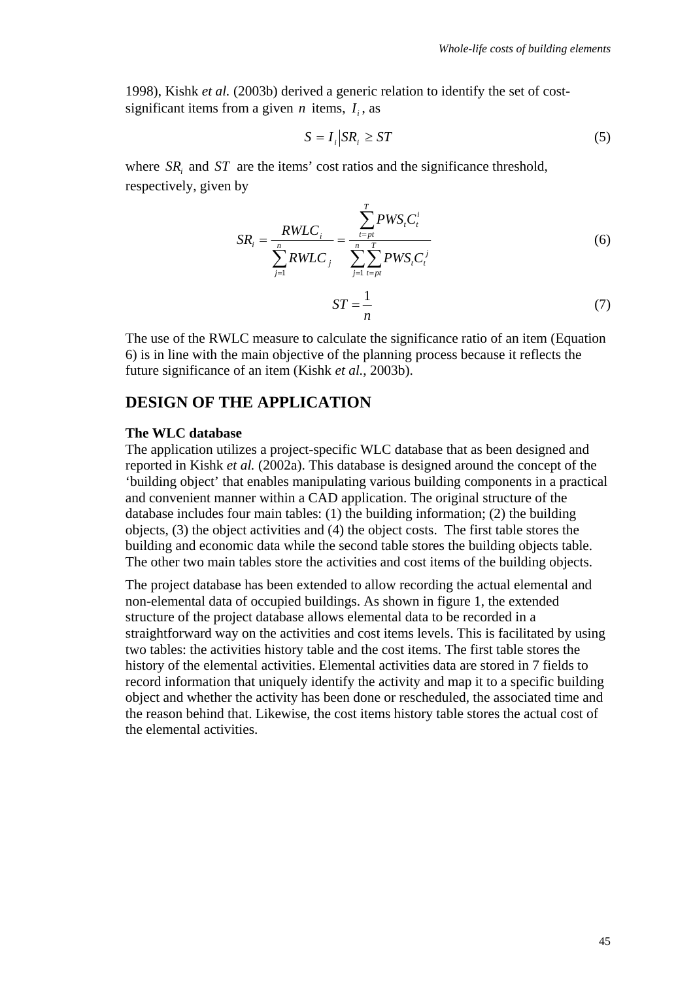1998), Kishk *et al.* (2003b) derived a generic relation to identify the set of costsignificant items from a given *n* items,  $I_i$ , as

$$
S = I_i \, |SR_i \ge ST \tag{5}
$$

where *SR<sub>i</sub>* and *ST* are the items' cost ratios and the significance threshold, respectively, given by

$$
SR_{i} = \frac{RWLC_{i}}{\sum_{j=1}^{n} RWLC_{j}} = \frac{\sum_{t=pt}^{T} PWS_{i}C_{t}^{i}}{\sum_{j=1}^{n} \sum_{t=pt}^{T} PWS_{i}C_{t}^{j}}
$$
(6)  

$$
ST = \frac{1}{n}
$$
(7)

The use of the RWLC measure to calculate the significance ratio of an item (Equation 6) is in line with the main objective of the planning process because it reflects the future significance of an item (Kishk *et al.*, 2003b).

### **DESIGN OF THE APPLICATION**

#### **The WLC database**

The application utilizes a project-specific WLC database that as been designed and reported in Kishk *et al.* (2002a). This database is designed around the concept of the 'building object' that enables manipulating various building components in a practical and convenient manner within a CAD application. The original structure of the database includes four main tables: (1) the building information; (2) the building objects, (3) the object activities and (4) the object costs. The first table stores the building and economic data while the second table stores the building objects table. The other two main tables store the activities and cost items of the building objects.

The project database has been extended to allow recording the actual elemental and non-elemental data of occupied buildings. As shown in figure 1, the extended structure of the project database allows elemental data to be recorded in a straightforward way on the activities and cost items levels. This is facilitated by using two tables: the activities history table and the cost items. The first table stores the history of the elemental activities. Elemental activities data are stored in 7 fields to record information that uniquely identify the activity and map it to a specific building object and whether the activity has been done or rescheduled, the associated time and the reason behind that. Likewise, the cost items history table stores the actual cost of the elemental activities.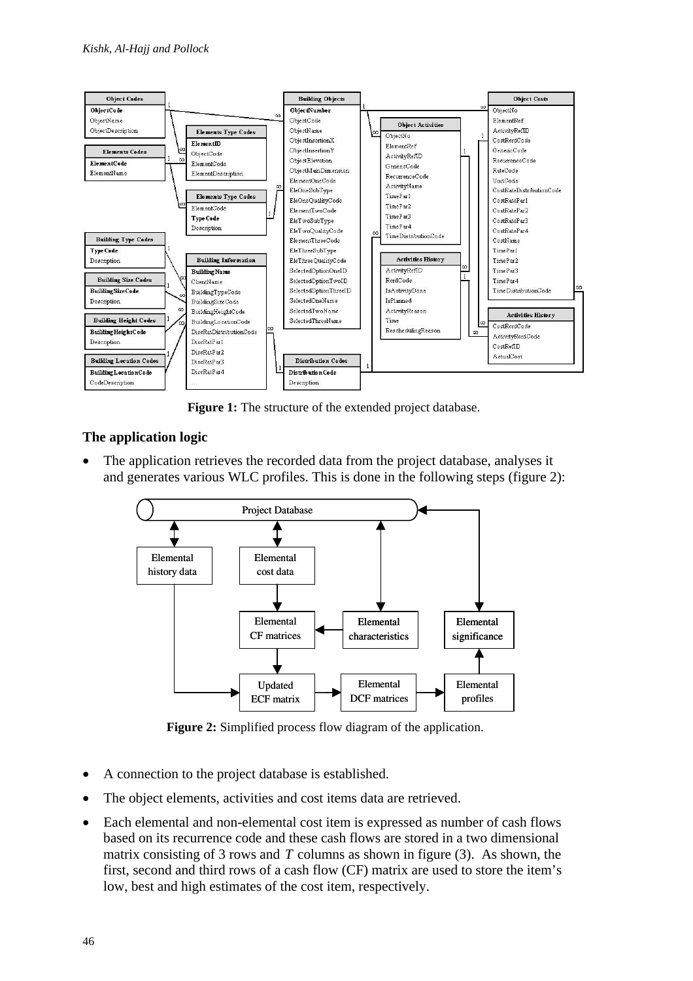

Figure 1: The structure of the extended project database.

### **The application logic**

The application retrieves the recorded data from the project database, analyses it and generates various WLC profiles. This is done in the following steps (figure 2):



**Figure 2:** Simplified process flow diagram of the application.

- A connection to the project database is established.
- The object elements, activities and cost items data are retrieved.
- Each elemental and non-elemental cost item is expressed as number of cash flows based on its recurrence code and these cash flows are stored in a two dimensional matrix consisting of 3 rows and *T* columns as shown in figure (3). As shown, the first, second and third rows of a cash flow (CF) matrix are used to store the item's low, best and high estimates of the cost item, respectively.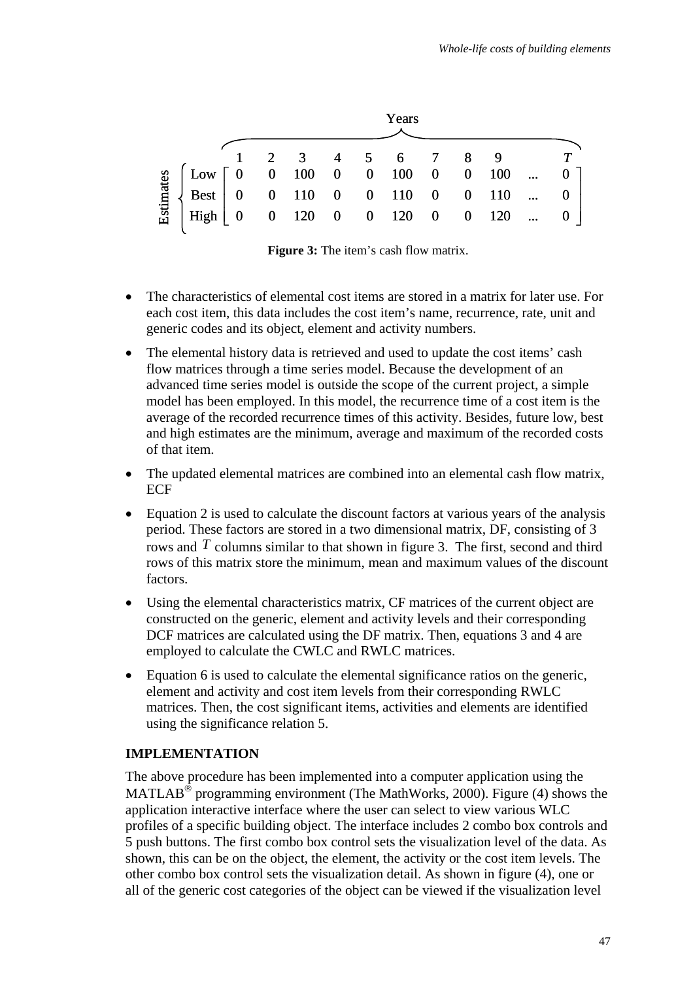|           |                                                                                                                                                                                                                                                               |  |  | Years |  |  |  |
|-----------|---------------------------------------------------------------------------------------------------------------------------------------------------------------------------------------------------------------------------------------------------------------|--|--|-------|--|--|--|
|           |                                                                                                                                                                                                                                                               |  |  |       |  |  |  |
| Estimates |                                                                                                                                                                                                                                                               |  |  |       |  |  |  |
|           | $\left[\begin{array}{cccccccccccc} 1 & 2 & 3 & 4 & 5 & 6 & 7 & 8 & 9 & T \ 0 & 0 & 100 & 0 & 0 & 100 & 0 & 0 & 100 &  & 0 \ \text{Best} & 0 & 0 & 110 & 0 & 0 & 110 & 0 & 0 & 110 &  & 0 \ 0 & 0 & 120 & 0 & 0 & 120 & 0 & 0 & 120 &  & 0 \end{array}\right]$ |  |  |       |  |  |  |
|           |                                                                                                                                                                                                                                                               |  |  |       |  |  |  |

**Figure 3:** The item's cash flow matrix.

- The characteristics of elemental cost items are stored in a matrix for later use. For each cost item, this data includes the cost item's name, recurrence, rate, unit and generic codes and its object, element and activity numbers.
- The elemental history data is retrieved and used to update the cost items' cash flow matrices through a time series model. Because the development of an advanced time series model is outside the scope of the current project, a simple model has been employed. In this model, the recurrence time of a cost item is the average of the recorded recurrence times of this activity. Besides, future low, best and high estimates are the minimum, average and maximum of the recorded costs of that item.
- The updated elemental matrices are combined into an elemental cash flow matrix, ECF
- Equation 2 is used to calculate the discount factors at various years of the analysis period. These factors are stored in a two dimensional matrix, DF, consisting of 3 rows and *T* columns similar to that shown in figure 3. The first, second and third rows of this matrix store the minimum, mean and maximum values of the discount factors.
- Using the elemental characteristics matrix, CF matrices of the current object are constructed on the generic, element and activity levels and their corresponding DCF matrices are calculated using the DF matrix. Then, equations 3 and 4 are employed to calculate the CWLC and RWLC matrices.
- Equation 6 is used to calculate the elemental significance ratios on the generic, element and activity and cost item levels from their corresponding RWLC matrices. Then, the cost significant items, activities and elements are identified using the significance relation 5.

### **IMPLEMENTATION**

The above procedure has been implemented into a computer application using the MATLAB<sup>®</sup> programming environment (The MathWorks, 2000). Figure (4) shows the application interactive interface where the user can select to view various WLC profiles of a specific building object. The interface includes 2 combo box controls and 5 push buttons. The first combo box control sets the visualization level of the data. As shown, this can be on the object, the element, the activity or the cost item levels. The other combo box control sets the visualization detail. As shown in figure (4), one or all of the generic cost categories of the object can be viewed if the visualization level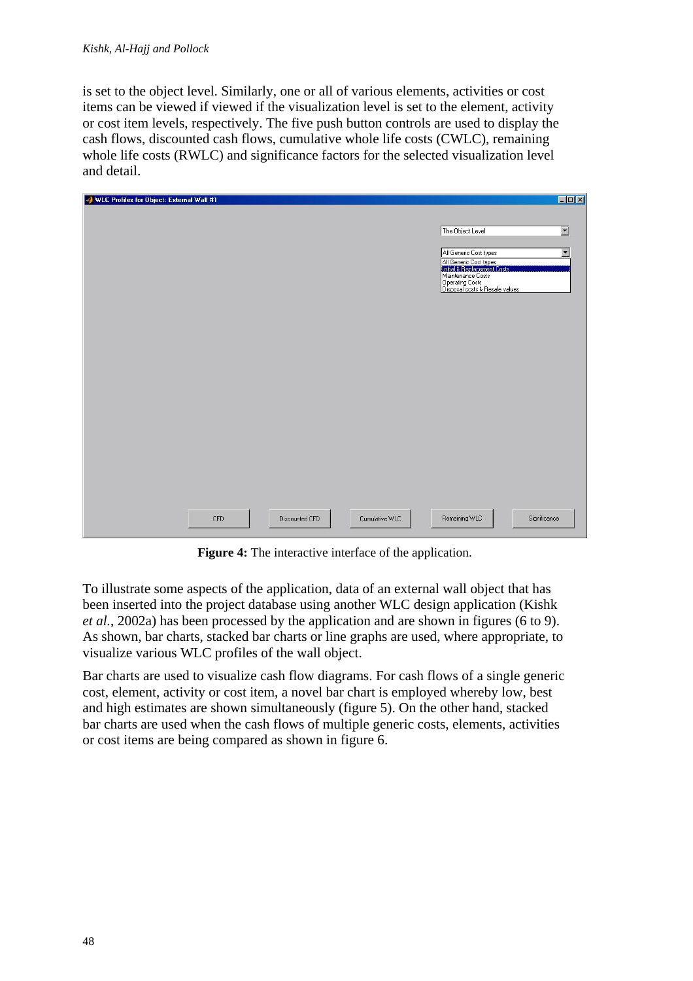is set to the object level. Similarly, one or all of various elements, activities or cost items can be viewed if viewed if the visualization level is set to the element, activity or cost item levels, respectively. The five push button controls are used to display the cash flows, discounted cash flows, cumulative whole life costs (CWLC), remaining whole life costs (RWLC) and significance factors for the selected visualization level and detail.

| WLC Profiles for Object: External Wall #1 |                |                |                                                                            | $\Box$ D $\Box$          |
|-------------------------------------------|----------------|----------------|----------------------------------------------------------------------------|--------------------------|
|                                           |                |                |                                                                            |                          |
|                                           |                |                | The Object Level                                                           | $\overline{\phantom{a}}$ |
|                                           |                |                |                                                                            |                          |
|                                           |                |                | All Generic Cost types                                                     | $\overline{\phantom{a}}$ |
|                                           |                |                | All Generic Cost types<br>Initial & Hericcement Losts<br>Maintenance Costs |                          |
|                                           |                |                | Operating Costs<br>Disposal costs & Resale values                          |                          |
|                                           |                |                |                                                                            |                          |
|                                           |                |                |                                                                            |                          |
|                                           |                |                |                                                                            |                          |
|                                           |                |                |                                                                            |                          |
|                                           |                |                |                                                                            |                          |
|                                           |                |                |                                                                            |                          |
|                                           |                |                |                                                                            |                          |
|                                           |                |                |                                                                            |                          |
|                                           |                |                |                                                                            |                          |
|                                           |                |                |                                                                            |                          |
|                                           |                |                |                                                                            |                          |
|                                           |                |                |                                                                            |                          |
|                                           |                |                |                                                                            |                          |
|                                           |                |                |                                                                            |                          |
|                                           |                |                |                                                                            |                          |
|                                           |                |                | Remaining WLC                                                              |                          |
| <b>CFD</b>                                | Discounted CFD | Cumulative WLC |                                                                            | Significance             |

**Figure 4:** The interactive interface of the application.

To illustrate some aspects of the application, data of an external wall object that has been inserted into the project database using another WLC design application (Kishk *et al.*, 2002a) has been processed by the application and are shown in figures (6 to 9). As shown, bar charts, stacked bar charts or line graphs are used, where appropriate, to visualize various WLC profiles of the wall object.

Bar charts are used to visualize cash flow diagrams. For cash flows of a single generic cost, element, activity or cost item, a novel bar chart is employed whereby low, best and high estimates are shown simultaneously (figure 5). On the other hand, stacked bar charts are used when the cash flows of multiple generic costs, elements, activities or cost items are being compared as shown in figure 6.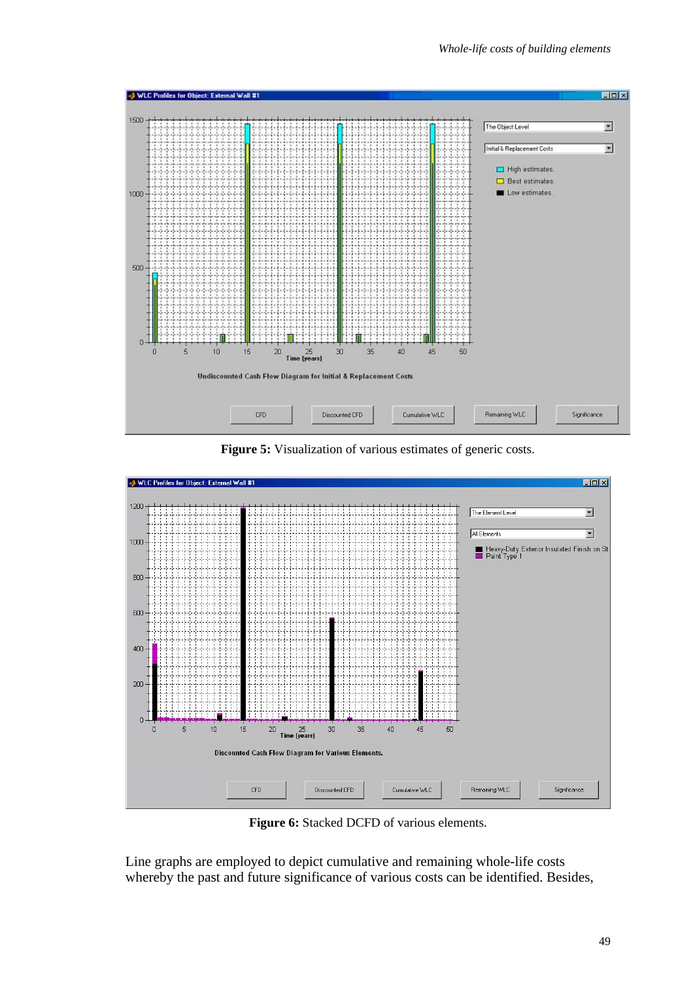

**Figure 5:** Visualization of various estimates of generic costs.



**Figure 6:** Stacked DCFD of various elements.

Line graphs are employed to depict cumulative and remaining whole-life costs whereby the past and future significance of various costs can be identified. Besides,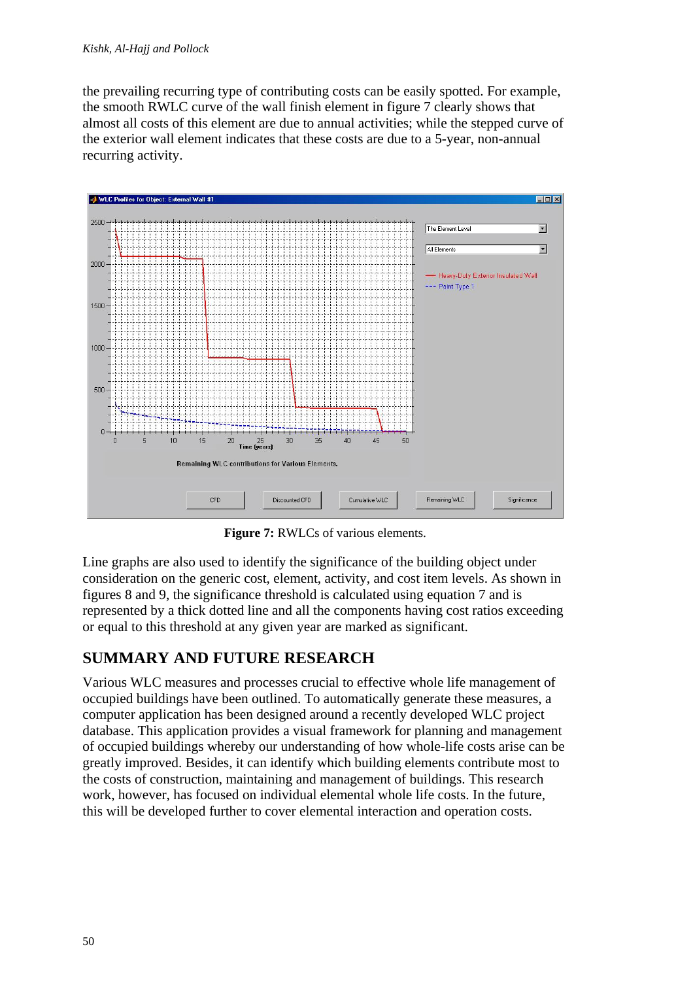the prevailing recurring type of contributing costs can be easily spotted. For example, the smooth RWLC curve of the wall finish element in figure 7 clearly shows that almost all costs of this element are due to annual activities; while the stepped curve of the exterior wall element indicates that these costs are due to a 5-year, non-annual recurring activity.



**Figure 7:** RWLCs of various elements.

Line graphs are also used to identify the significance of the building object under consideration on the generic cost, element, activity, and cost item levels. As shown in figures 8 and 9, the significance threshold is calculated using equation 7 and is represented by a thick dotted line and all the components having cost ratios exceeding or equal to this threshold at any given year are marked as significant.

## **SUMMARY AND FUTURE RESEARCH**

Various WLC measures and processes crucial to effective whole life management of occupied buildings have been outlined. To automatically generate these measures, a computer application has been designed around a recently developed WLC project database. This application provides a visual framework for planning and management of occupied buildings whereby our understanding of how whole-life costs arise can be greatly improved. Besides, it can identify which building elements contribute most to the costs of construction, maintaining and management of buildings. This research work, however, has focused on individual elemental whole life costs. In the future, this will be developed further to cover elemental interaction and operation costs.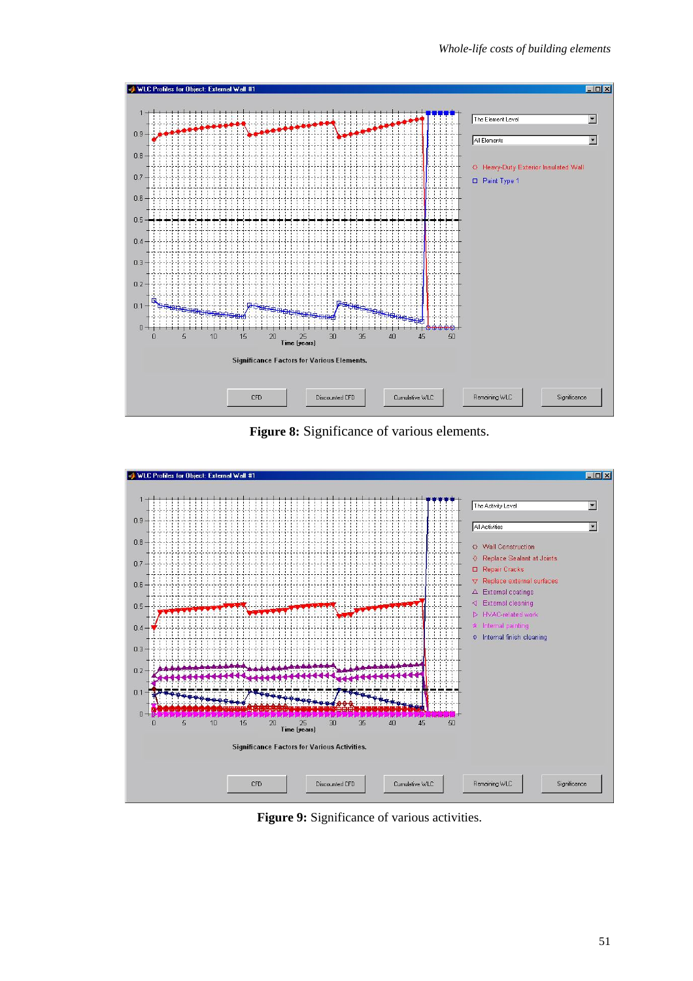

**Figure 8:** Significance of various elements.



**Figure 9:** Significance of various activities.